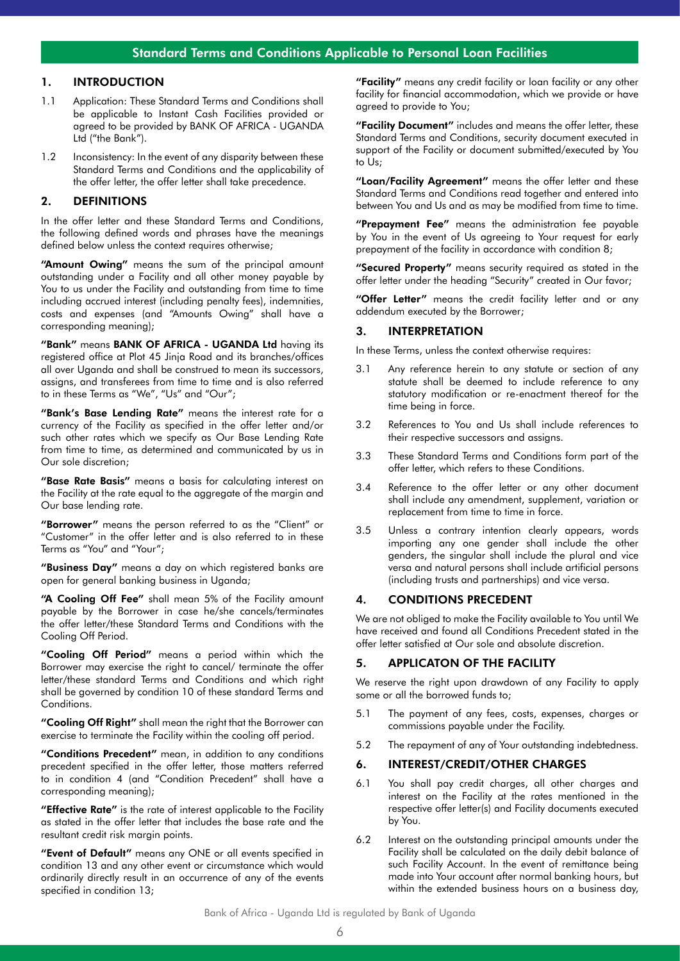# Standard Terms and Conditions Applicable to Personal Loan Facilities

# 1. INTRODUCTION

- 1.1 Application: These Standard Terms and Conditions shall be applicable to Instant Cash Facilities provided or agreed to be provided by BANK OF AFRICA - UGANDA Ltd ("the Bank").
- 1.2 Inconsistency: In the event of any disparity between these Standard Terms and Conditions and the applicability of the offer letter, the offer letter shall take precedence.

#### 2. DEFINITIONS

In the offer letter and these Standard Terms and Conditions, the following defined words and phrases have the meanings defined below unless the context requires otherwise;

"Amount Owing" means the sum of the principal amount outstanding under a Facility and all other money payable by You to us under the Facility and outstanding from time to time including accrued interest (including penalty fees), indemnities, costs and expenses (and "Amounts Owing" shall have a corresponding meaning);

"Bank" means BANK OF AFRICA - UGANDA Ltd having its registered office at Plot 45 Jinja Road and its branches/offices all over Uganda and shall be construed to mean its successors, assigns, and transferees from time to time and is also referred to in these Terms as "We", "Us" and "Our";

"Bank's Base Lending Rate" means the interest rate for a currency of the Facility as specified in the offer letter and/or such other rates which we specify as Our Base Lending Rate from time to time, as determined and communicated by us in Our sole discretion;

"Base Rate Basis" means a basis for calculating interest on the Facility at the rate equal to the aggregate of the margin and Our base lending rate.

"Borrower" means the person referred to as the "Client" or "Customer" in the offer letter and is also referred to in these Terms as "You" and "Your";

"Business Day" means a day on which registered banks are open for general banking business in Uganda;

"A Cooling Off Fee" shall mean 5% of the Facility amount payable by the Borrower in case he/she cancels/terminates the offer letter/these Standard Terms and Conditions with the Cooling Off Period.

"Cooling Off Period" means a period within which the Borrower may exercise the right to cancel/ terminate the offer letter/these standard Terms and Conditions and which right shall be governed by condition 10 of these standard Terms and Conditions.

"Cooling Off Right" shall mean the right that the Borrower can exercise to terminate the Facility within the cooling off period.

"Conditions Precedent" mean, in addition to any conditions precedent specified in the offer letter, those matters referred to in condition 4 (and "Condition Precedent" shall have a corresponding meaning);

"Effective Rate" is the rate of interest applicable to the Facility as stated in the offer letter that includes the base rate and the resultant credit risk margin points.

"Event of Default" means any ONE or all events specified in condition 13 and any other event or circumstance which would ordinarily directly result in an occurrence of any of the events specified in condition 13;

"Facility" means any credit facility or loan facility or any other facility for financial accommodation, which we provide or have agreed to provide to You;

"Facility Document" includes and means the offer letter, these Standard Terms and Conditions, security document executed in support of the Facility or document submitted/executed by You to Us;

"Loan/Facility Agreement" means the offer letter and these Standard Terms and Conditions read together and entered into between You and Us and as may be modified from time to time.

"Prepayment Fee" means the administration fee payable by You in the event of Us agreeing to Your request for early prepayment of the facility in accordance with condition 8;

"Secured Property" means security required as stated in the offer letter under the heading "Security" created in Our favor;

"Offer Letter" means the credit facility letter and or any addendum executed by the Borrower;

## 3. INTERPRETATION

In these Terms, unless the context otherwise requires:

- 3.1 Any reference herein to any statute or section of any statute shall be deemed to include reference to any statutory modification or re-enactment thereof for the time being in force.
- 3.2 References to You and Us shall include references to their respective successors and assigns.
- 3.3 These Standard Terms and Conditions form part of the offer letter, which refers to these Conditions.
- 3.4 Reference to the offer letter or any other document shall include any amendment, supplement, variation or replacement from time to time in force.
- 3.5 Unless a contrary intention clearly appears, words importing any one gender shall include the other genders, the singular shall include the plural and vice versa and natural persons shall include artificial persons (including trusts and partnerships) and vice versa.

#### 4. CONDITIONS PRECEDENT

We are not obliged to make the Facility available to You until We have received and found all Conditions Precedent stated in the offer letter satisfied at Our sole and absolute discretion.

#### 5. APPLICATON OF THE FACILITY

We reserve the right upon drawdown of any Facility to apply some or all the borrowed funds to;

- 5.1 The payment of any fees, costs, expenses, charges or commissions payable under the Facility.
- 5.2 The repayment of any of Your outstanding indebtedness.

#### 6. INTEREST/CREDIT/OTHER CHARGES

- 6.1 You shall pay credit charges, all other charges and interest on the Facility at the rates mentioned in the respective offer letter(s) and Facility documents executed by You.
- 6.2 Interest on the outstanding principal amounts under the Facility shall be calculated on the daily debit balance of such Facility Account. In the event of remittance being made into Your account after normal banking hours, but within the extended business hours on a business day,

#### Bank of Africa - Uganda Ltd is regulated by Bank of Uganda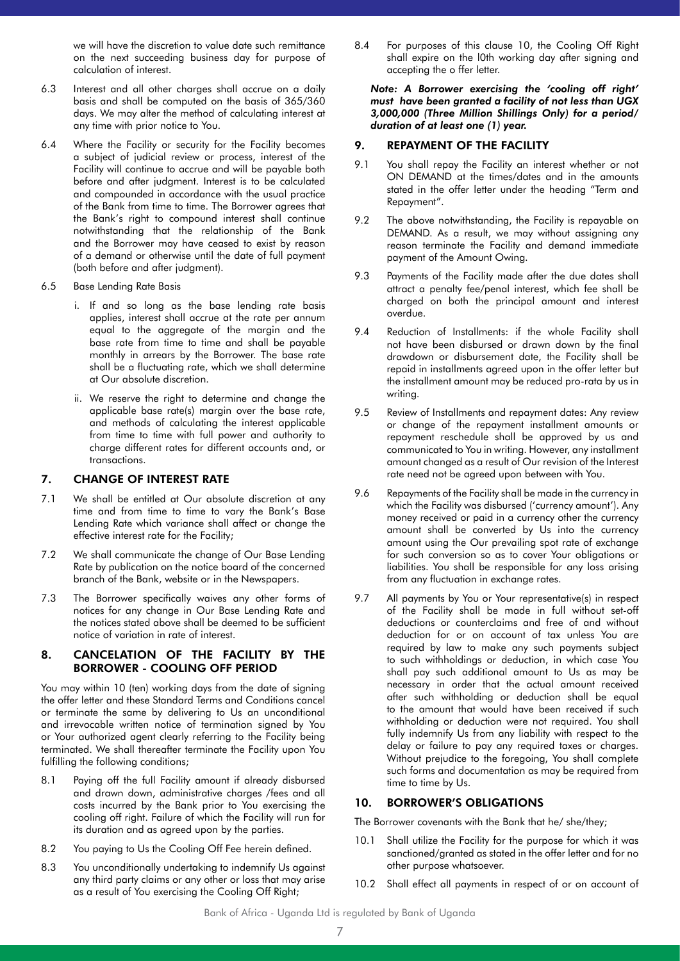we will have the discretion to value date such remittance on the next succeeding business day for purpose of calculation of interest.

- 6.3 Interest and all other charges shall accrue on a daily basis and shall be computed on the basis of 365/360 days. We may alter the method of calculating interest at any time with prior notice to You.
- 6.4 Where the Facility or security for the Facility becomes a subject of judicial review or process, interest of the Facility will continue to accrue and will be payable both before and after judgment. Interest is to be calculated and compounded in accordance with the usual practice of the Bank from time to time. The Borrower agrees that the Bank's right to compound interest shall continue notwithstanding that the relationship of the Bank and the Borrower may have ceased to exist by reason of a demand or otherwise until the date of full payment (both before and after judgment).
- 6.5 Base Lending Rate Basis
	- i. If and so long as the base lending rate basis applies, interest shall accrue at the rate per annum equal to the aggregate of the margin and the base rate from time to time and shall be payable monthly in arrears by the Borrower. The base rate shall be a fluctuating rate, which we shall determine at Our absolute discretion.
	- ii. We reserve the right to determine and change the applicable base rate(s) margin over the base rate, and methods of calculating the interest applicable from time to time with full power and authority to charge different rates for different accounts and, or transactions.

#### 7. CHANGE OF INTEREST RATE

- 7.1 We shall be entitled at Our absolute discretion at any time and from time to time to vary the Bank's Base Lending Rate which variance shall affect or change the effective interest rate for the Facility;
- 7.2 We shall communicate the change of Our Base Lending Rate by publication on the notice board of the concerned branch of the Bank, website or in the Newspapers.
- 7.3 The Borrower specifically waives any other forms of notices for any change in Our Base Lending Rate and the notices stated above shall be deemed to be sufficient notice of variation in rate of interest.

# 8. CANCELATION OF THE FACILITY BY THE BORROWER - COOLING OFF PERIOD

You may within 10 (ten) working days from the date of signing the offer letter and these Standard Terms and Conditions cancel or terminate the same by delivering to Us an unconditional and irrevocable written notice of termination signed by You or Your authorized agent clearly referring to the Facility being terminated. We shall thereafter terminate the Facility upon You fulfilling the following conditions;

- 8.1 Paying off the full Facility amount if already disbursed and drawn down, administrative charges /fees and all costs incurred by the Bank prior to You exercising the cooling off right. Failure of which the Facility will run for its duration and as agreed upon by the parties.
- 8.2 You paying to Us the Cooling Off Fee herein defined.
- 8.3 You unconditionally undertaking to indemnify Us against any third party claims or any other or loss that may arise as a result of You exercising the Cooling Off Right;

8.4 For purposes of this clause 10, the Cooling Off Right shall expire on the l0th working day after signing and accepting the o ffer letter.

*Note: A Borrower exercising the 'cooling off right' must have been granted a facility of not less than UGX 3,000,000 (Three Million Shillings Only) for a period/ duration of at least one (1) year.*

# 9. REPAYMENT OF THE FACILITY

- 9.1 You shall repay the Facility an interest whether or not ON DEMAND at the times/dates and in the amounts stated in the offer letter under the heading "Term and Repayment".
- 9.2 The above notwithstanding, the Facility is repayable on DEMAND. As a result, we may without assigning any reason terminate the Facility and demand immediate payment of the Amount Owing.
- 9.3 Payments of the Facility made after the due dates shall attract a penalty fee/penal interest, which fee shall be charged on both the principal amount and interest overdue.
- 9.4 Reduction of Installments: if the whole Facility shall not have been disbursed or drawn down by the final drawdown or disbursement date, the Facility shall be repaid in installments agreed upon in the offer letter but the installment amount may be reduced pro-rata by us in writing.
- 9.5 Review of Installments and repayment dates: Any review or change of the repayment installment amounts or repayment reschedule shall be approved by us and communicated to You in writing. However, any installment amount changed as a result of Our revision of the Interest rate need not be agreed upon between with You.
- 9.6 Repayments of the Facility shall be made in the currency in which the Facility was disbursed ('currency amount'). Any money received or paid in a currency other the currency amount shall be converted by Us into the currency amount using the Our prevailing spot rate of exchange for such conversion so as to cover Your obligations or liabilities. You shall be responsible for any loss arising from any fluctuation in exchange rates.
- 9.7 All payments by You or Your representative(s) in respect of the Facility shall be made in full without set-off deductions or counterclaims and free of and without deduction for or on account of tax unless You are required by law to make any such payments subject to such withholdings or deduction, in which case You shall pay such additional amount to Us as may be necessary in order that the actual amount received after such withholding or deduction shall be equal to the amount that would have been received if such withholding or deduction were not required. You shall fully indemnify Us from any liability with respect to the delay or failure to pay any required taxes or charges. Without prejudice to the foregoing, You shall complete such forms and documentation as may be required from time to time by Us.

## 10. BORROWER'S OBLIGATIONS

The Borrower covenants with the Bank that he/ she/they;

- 10.1 Shall utilize the Facility for the purpose for which it was sanctioned/granted as stated in the offer letter and for no other purpose whatsoever.
- 10.2 Shall effect all payments in respect of or on account of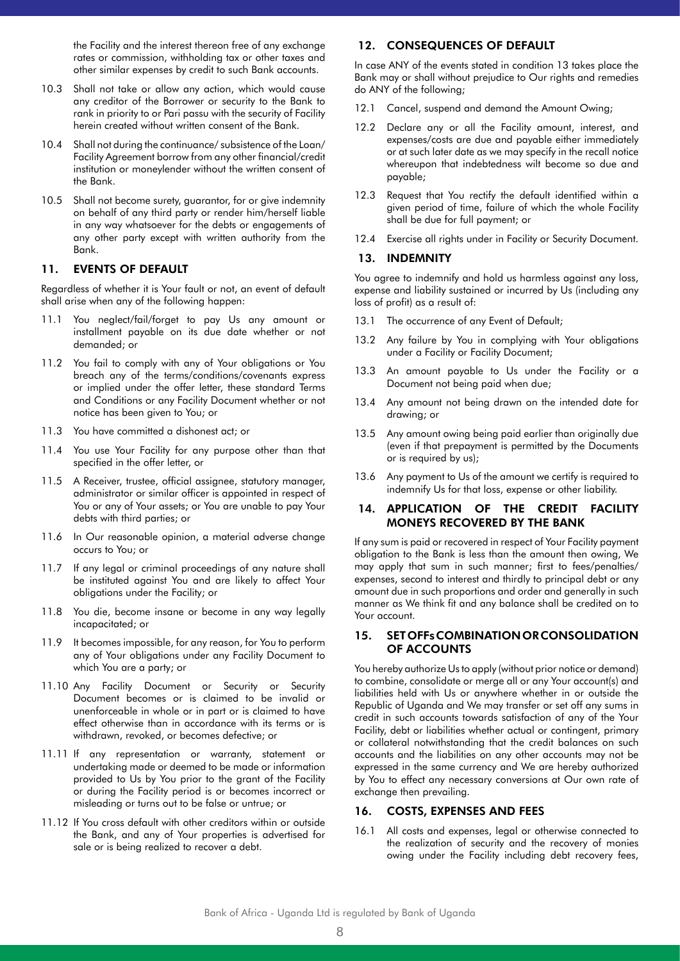the Facility and the interest thereon free of any exchange rates or commission, withholding tax or other taxes and other similar expenses by credit to such Bank accounts.

- 10.3 Shall not take or allow any action, which would cause any creditor of the Borrower or security to the Bank to rank in priority to or Pari passu with the security of Facility herein created without written consent of the Bank.
- 10.4 Shall not during the continuance/ subsistence of the Loan/ Facility Agreement borrow from any other financial/credit institution or moneylender without the written consent of the Bank.
- 10.5 Shall not become surety, guarantor, for or give indemnity on behalf of any third party or render him/herself liable in any way whatsoever for the debts or engagements of any other party except with written authority from the Bank.

#### 11. EVENTS OF DEFAULT

Regardless of whether it is Your fault or not, an event of default shall arise when any of the following happen:

- 11.1 You neglect/fail/forget to pay Us any amount or installment payable on its due date whether or not demanded; or
- 11.2 You fail to comply with any of Your obligations or You breach any of the terms/conditions/covenants express or implied under the offer letter, these standard Terms and Conditions or any Facility Document whether or not notice has been given to You; or
- 11.3 You have committed a dishonest act; or
- 11.4 You use Your Facility for any purpose other than that specified in the offer letter, or
- 11.5 A Receiver, trustee, official assignee, statutory manager, administrator or similar officer is appointed in respect of You or any of Your assets; or You are unable to pay Your debts with third parties; or
- 11.6 In Our reasonable opinion, a material adverse change occurs to You; or
- 11.7 If any legal or criminal proceedings of any nature shall be instituted against You and are likely to affect Your obligations under the Facility; or
- 11.8 You die, become insane or become in any way legally incapacitated; or
- 11.9 It becomes impossible, for any reason, for You to perform any of Your obligations under any Facility Document to which You are a party; or
- 11.10 Any Facility Document or Security or Security Document becomes or is claimed to be invalid or unenforceable in whole or in part or is claimed to have effect otherwise than in accordance with its terms or is withdrawn, revoked, or becomes defective; or
- 11.11 If any representation or warranty, statement or undertaking made or deemed to be made or information provided to Us by You prior to the grant of the Facility or during the Facility period is or becomes incorrect or misleading or turns out to be false or untrue; or
- 11.12 If You cross default with other creditors within or outside the Bank, and any of Your properties is advertised for sale or is being realized to recover a debt.

# 12. CONSEQUENCES OF DEFAULT

In case ANY of the events stated in condition 13 takes place the Bank may or shall without prejudice to Our rights and remedies do ANY of the following;

- 12.1 Cancel, suspend and demand the Amount Owing;
- 12.2 Declare any or all the Facility amount, interest, and expenses/costs are due and payable either immediately or at such later date as we may specify in the recall notice whereupon that indebtedness wilt become so due and payable;
- 12.3 Request that You rectify the default identified within a given period of time, failure of which the whole Facility shall be due for full payment; or
- 12.4 Exercise all rights under in Facility or Security Document.

## 13. INDEMNITY

You agree to indemnify and hold us harmless against any loss, expense and liability sustained or incurred by Us (including any loss of profit) as a result of:

- 13.1 The occurrence of any Event of Default;
- 13.2 Any failure by You in complying with Your obligations under a Facility or Facility Document;
- 13.3 An amount payable to Us under the Facility or a Document not being paid when due;
- 13.4 Any amount not being drawn on the intended date for drawing; or
- 13.5 Any amount owing being paid earlier than originally due (even if that prepayment is permitted by the Documents or is required by us);
- 13.6 Any payment to Us of the amount we certify is required to indemnify Us for that loss, expense or other liability.

## 14. APPLICATION OF THE CREDIT FACILITY MONEYS RECOVERED BY THE BANK

If any sum is paid or recovered in respect of Your Facility payment obligation to the Bank is less than the amount then owing, We may apply that sum in such manner; first to fees/penalties/ expenses, second to interest and thirdly to principal debt or any amount due in such proportions and order and generally in such manner as We think fit and any balance shall be credited on to Your account.

## 15. SET OFFs COMBINATION OR CONSOLIDATION OF ACCOUNTS

You hereby authorize Us to apply (without prior notice or demand) to combine, consolidate or merge all or any Your account(s) and liabilities held with Us or anywhere whether in or outside the Republic of Uganda and We may transfer or set off any sums in credit in such accounts towards satisfaction of any of the Your Facility, debt or liabilities whether actual or contingent, primary or collateral notwithstanding that the credit balances on such accounts and the liabilities on any other accounts may not be expressed in the same currency and We are hereby authorized by You to effect any necessary conversions at Our own rate of exchange then prevailing.

## 16. COSTS, EXPENSES AND FEES

16.1 All costs and expenses, legal or otherwise connected to the realization of security and the recovery of monies owing under the Facility including debt recovery fees,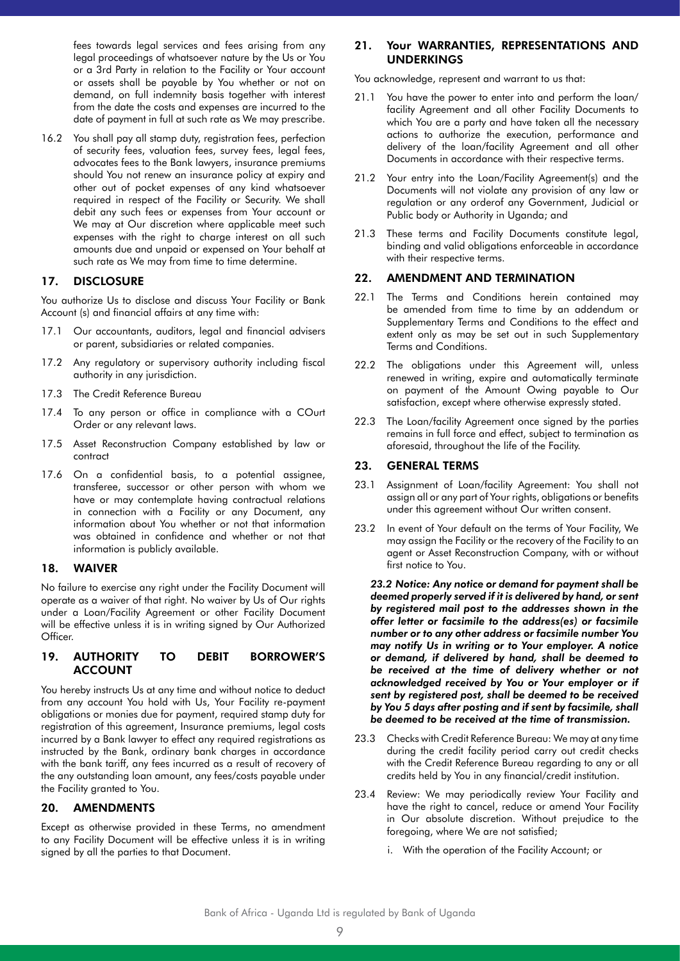fees towards legal services and fees arising from any legal proceedings of whatsoever nature by the Us or You or a 3rd Party in relation to the Facility or Your account or assets shall be payable by You whether or not on demand, on full indemnity basis together with interest from the date the costs and expenses are incurred to the date of payment in full at such rate as We may prescribe.

16.2 You shall pay all stamp duty, registration fees, perfection of security fees, valuation fees, survey fees, legal fees, advocates fees to the Bank lawyers, insurance premiums should You not renew an insurance policy at expiry and other out of pocket expenses of any kind whatsoever required in respect of the Facility or Security. We shall debit any such fees or expenses from Your account or We may at Our discretion where applicable meet such expenses with the right to charge interest on all such amounts due and unpaid or expensed on Your behalf at such rate as We may from time to time determine.

# 17. DISCLOSURE

You authorize Us to disclose and discuss Your Facility or Bank Account (s) and financial affairs at any time with:

- 17.1 Our accountants, auditors, legal and financial advisers or parent, subsidiaries or related companies.
- 17.2 Any regulatory or supervisory authority including fiscal authority in any jurisdiction.
- 17.3 The Credit Reference Bureau
- 17.4 To any person or office in compliance with a COurt Order or any relevant laws.
- 17.5 Asset Reconstruction Company established by law or contract
- 17.6 On a confidential basis, to a potential assignee, transferee, successor or other person with whom we have or may contemplate having contractual relations in connection with a Facility or any Document, any information about You whether or not that information was obtained in confidence and whether or not that information is publicly available.

## 18. WAIVER

No failure to exercise any right under the Facility Document will operate as a waiver of that right. No waiver by Us of Our rights under a Loan/Facility Agreement or other Facility Document will be effective unless it is in writing signed by Our Authorized Officer.

#### 19. AUTHORITY TO DEBIT BORROWER'S ACCOUNT

You hereby instructs Us at any time and without notice to deduct from any account You hold with Us, Your Facility re-payment obligations or monies due for payment, required stamp duty for registration of this agreement, Insurance premiums, legal costs incurred by a Bank lawyer to effect any required registrations as instructed by the Bank, ordinary bank charges in accordance with the bank tariff, any fees incurred as a result of recovery of the any outstanding loan amount, any fees/costs payable under the Facility granted to You.

## 20. AMENDMENTS

Except as otherwise provided in these Terms, no amendment to any Facility Document will be effective unless it is in writing signed by all the parties to that Document.

# 21. Your WARRANTIES, REPRESENTATIONS AND UNDERKINGS

You acknowledge, represent and warrant to us that:

- 21.1 You have the power to enter into and perform the loan/ facility Agreement and all other Facility Documents to which You are a party and have taken all the necessary actions to authorize the execution, performance and delivery of the loan/facility Agreement and all other Documents in accordance with their respective terms.
- 21.2 Your entry into the Loan/Facility Agreement(s) and the Documents will not violate any provision of any law or regulation or any orderof any Government, Judicial or Public body or Authority in Uganda; and
- 21.3 These terms and Facility Documents constitute legal, binding and valid obligations enforceable in accordance with their respective terms.

#### 22. AMENDMENT AND TERMINATION

- 22.1 The Terms and Conditions herein contained may be amended from time to time by an addendum or Supplementary Terms and Conditions to the effect and extent only as may be set out in such Supplementary Terms and Conditions.
- 22.2 The obligations under this Agreement will, unless renewed in writing, expire and automatically terminate on payment of the Amount Owing payable to Our satisfaction, except where otherwise expressly stated.
- 22.3 The Loan/facility Agreement once signed by the parties remains in full force and effect, subject to termination as aforesaid, throughout the life of the Facility.

## 23. GENERAL TERMS

- 23.1 Assignment of Loan/facility Agreement: You shall not assign all or any part of Your rights, obligations or benefits under this agreement without Our written consent.
- 23.2 In event of Your default on the terms of Your Facility, We may assign the Facility or the recovery of the Facility to an agent or Asset Reconstruction Company, with or without first notice to You.

*23.2 Notice: Any notice or demand for payment shall be deemed properly served if it is delivered by hand, or sent by registered mail post to the addresses shown in the offer letter or facsimile to the address(es) or facsimile number or to any other address or facsimile number You may notify Us in writing or to Your employer. A notice or demand, if delivered by hand, shall be deemed to be received at the time of delivery whether or not acknowledged received by You or Your employer or if sent by registered post, shall be deemed to be received by You 5 days after posting and if sent by facsimile, shall be deemed to be received at the time of transmission.*

- 23.3 Checks with Credit Reference Bureau: We may at any time during the credit facility period carry out credit checks with the Credit Reference Bureau regarding to any or all credits held by You in any financial/credit institution.
- 23.4 Review: We may periodically review Your Facility and have the right to cancel, reduce or amend Your Facility in Our absolute discretion. Without prejudice to the foregoing, where We are not satisfied;
	- i. With the operation of the Facility Account; or